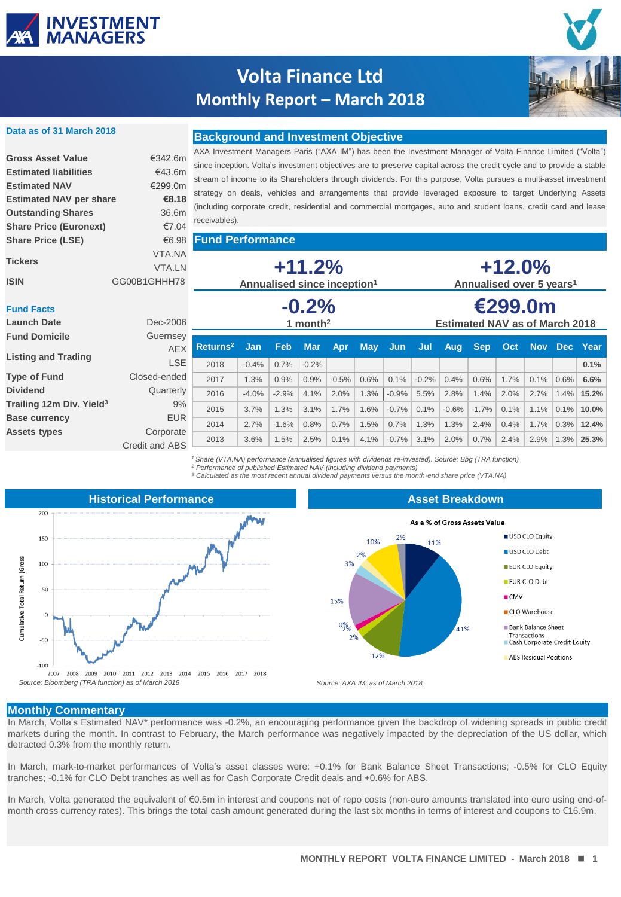

# **Volta Finance Ltd Monthly Report – March 2018**

**Background and Investment Objective**



#### **Data as of 31 March 2018**

### **Gross Asset Value** €342.6m **Estimated liabilities** €43.6m **Estimated NAV** €299.0m **Estimated NAV per share €8.18 Outstanding Shares** 36.6m **Share Price (Euronext)** €7.04 **Share Price (LSE)** €6.98 VTA.NA VTA.LN

AXA Investment Managers Paris ("AXA IM") has been the Investment Manager of Volta Finance Limited ("Volta") since inception. Volta's investment objectives are to preserve capital across the credit cycle and to provide a stable stream of income to its Shareholders through dividends. For this purpose, Volta pursues a multi-asset investment strategy on deals, vehicles and arrangements that provide leveraged exposure to target Underlying Assets (including corporate credit, residential and commercial mortgages, auto and student loans, credit card and lease receivables).

**Fund Performance**

| <b>Tickers</b><br><b>ISIN</b>               | VTA.NA<br><b>VTA.LN</b><br>GG00B1GHHH78 | $+11.2%$<br>Annualised since inception <sup>1</sup> |                |                    |                       |         |            |         |         | $+12.0\%$<br>Annualised over 5 years <sup>1</sup> |            |      |            |      |              |  |
|---------------------------------------------|-----------------------------------------|-----------------------------------------------------|----------------|--------------------|-----------------------|---------|------------|---------|---------|---------------------------------------------------|------------|------|------------|------|--------------|--|
| <b>Fund Facts</b><br><b>Launch Date</b>     | Dec-2006                                | $-0.2%$<br>1 month <sup>2</sup>                     |                |                    |                       |         |            |         |         | €299.0m<br><b>Estimated NAV as of March 2018</b>  |            |      |            |      |              |  |
| <b>Fund Domicile</b>                        | Guernsey                                |                                                     |                |                    |                       |         |            |         |         |                                                   |            |      |            |      |              |  |
| <b>Listing and Trading</b>                  | <b>AEX</b><br><b>LSE</b>                | Returns <sup>2</sup><br>2018                        | Jan<br>$-0.4%$ | <b>Feb</b><br>0.7% | <b>Mar</b><br>$-0.2%$ | Apr     | <b>May</b> | Jun     | Jul     | Aug                                               | <b>Sep</b> | Oct  | <b>Nov</b> | Dec  | Year<br>0.1% |  |
| <b>Type of Fund</b>                         | Closed-ended                            | 2017                                                | 1.3%           | 0.9%               | 0.9%                  | $-0.5%$ | 0.6%       | 0.1%    | $-0.2%$ | 0.4%                                              | 0.6%       | 1.7% | 0.1%       | 0.6% | 6.6%         |  |
| <b>Dividend</b>                             | Quarterly                               | 2016                                                | $-4.0%$        | $-2.9%$            | 4.1%                  | 2.0%    | 1.3%       | $-0.9%$ | 5.5%    | 2.8%                                              | 1.4%       | 2.0% | 2.7%       | 1.4% | 15.2%        |  |
| Trailing 12m Div. Yield <sup>3</sup>        | 9%                                      | 2015                                                | 3.7%           | 1.3%               | 3.1%                  | 1.7%    | 1.6%       | $-0.7%$ | 0.1%    | $-0.6%$                                           | $-1.7%$    | 0.1% | 1.1%       | 0.1% | 10.0%        |  |
| <b>Base currency</b><br><b>Assets types</b> | <b>EUR</b>                              | 2014                                                | 2.7%           | $-1.6%$            | 0.8%                  | 0.7%    | 1.5%       | 0.7%    | 1.3%    | 1.3%                                              | 2.4%       | 0.4% | 1.7%       | 0.3% | 12.4%        |  |
|                                             | Corporate<br>Credit and ABS             | 2013                                                | 3.6%           | 1.5%               | 2.5%                  | 0.1%    | 4.1%       | $-0.7%$ | 3.1%    | 2.0%                                              | 0.7%       | 2.4% | 2.9%       | 1.3% | 25.3%        |  |

*<sup>1</sup> Share (VTA.NA) performance (annualised figures with dividends re-invested). Source: Bbg (TRA function) <sup>2</sup> Performance of published Estimated NAV (including dividend payments)*

*<sup>3</sup> Calculated as the most recent annual dividend payments versus the month-end share price (VTA.NA)*



**Asset Breakdown**



#### **Monthly Commentary**

In March, Volta's Estimated NAV\* performance was -0.2%, an encouraging performance given the backdrop of widening spreads in public credit markets during the month. In contrast to February, the March performance was negatively impacted by the depreciation of the US dollar, which detracted 0.3% from the monthly return.

In March, mark-to-market performances of Volta's asset classes were: +0.1% for Bank Balance Sheet Transactions; -0.5% for CLO Equity tranches; -0.1% for CLO Debt tranches as well as for Cash Corporate Credit deals and +0.6% for ABS.

In March, Volta generated the equivalent of €0.5m in interest and coupons net of repo costs (non-euro amounts translated into euro using end-ofmonth cross currency rates). This brings the total cash amount generated during the last six months in terms of interest and coupons to €16.9m.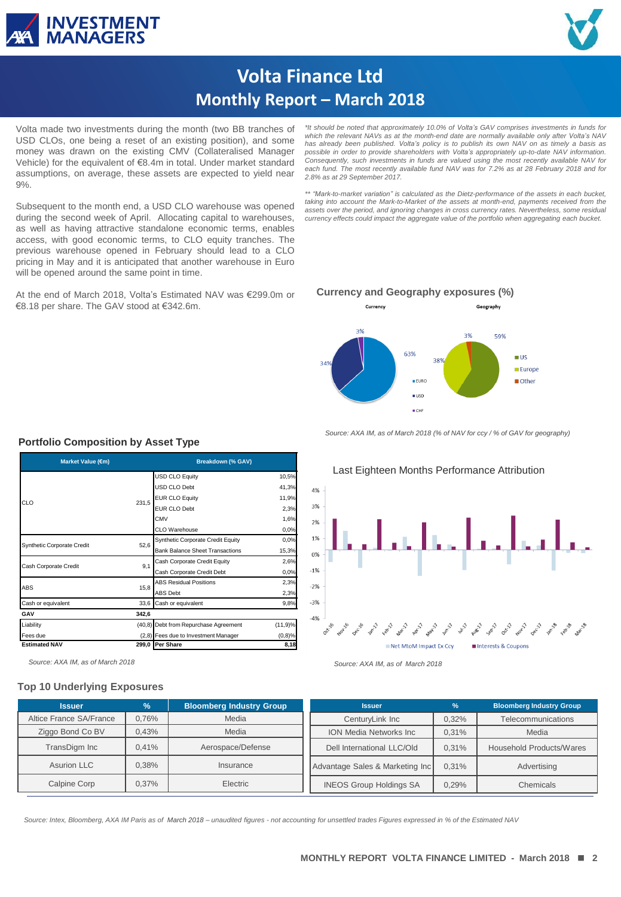



# **Volta Finance Ltd Monthly Report – March 2018**

Volta made two investments during the month (two BB tranches of USD CLOs, one being a reset of an existing position), and some money was drawn on the existing CMV (Collateralised Manager Vehicle) for the equivalent of €8.4m in total. Under market standard assumptions, on average, these assets are expected to yield near 9%.

Subsequent to the month end, a USD CLO warehouse was opened during the second week of April. Allocating capital to warehouses, as well as having attractive standalone economic terms, enables access, with good economic terms, to CLO equity tranches. The previous warehouse opened in February should lead to a CLO pricing in May and it is anticipated that another warehouse in Euro will be opened around the same point in time.

At the end of March 2018, Volta's Estimated NAV was €299.0m or €8.18 per share. The GAV stood at €342.6m.

*\*It should be noted that approximately 10.0% of Volta's GAV comprises investments in funds for which the relevant NAVs as at the month-end date are normally available only after Volta's NAV has already been published. Volta's policy is to publish its own NAV on as timely a basis as possible in order to provide shareholders with Volta's appropriately up-to-date NAV information. Consequently, such investments in funds are valued using the most recently available NAV for each fund. The most recently available fund NAV was for 7.2% as at 28 February 2018 and for 2.8% as at 29 September 2017.*

*\*\* "Mark-to-market variation" is calculated as the Dietz-performance of the assets in each bucket, taking into account the Mark-to-Market of the assets at month-end, payments received from the* assets over the period, and ignoring changes in cross currency rates. Nevertheless, some residual<br>currency effects could impact the aggregate value of the portfolio when aggregating each bucket.

#### **Currency and Geography exposures (%)**



*Source: AXA IM, as of March 2018 (% of NAV for ccy / % of GAV for geography)*



### **Portfolio Composition by Asset Type**

**GAV 342,6**

 $\overline{ABS}$  15,8

CLO 231,5

Synthetic Corporate Credit 52,6 Cash Corporate Credit 9,1

#### **Top 10 Underlying Exposures**

**Issuer % Bloomberg Industry Group** Altice France SA/France | 0,76% | Media Ziggo Bond Co BV | 0,43% | Media TransDigm Inc | 0,41% | Aerospace/Defense Asurion LLC 1 0,38% nsurance Calpine Corp | 0,37% | Electric **Issuer % Bloomberg Industry Group** CenturyLink Inc | 0,32% | Telecommunications ION Media Networks Inc | 0,31% | Media Dell International LLC/Old | 0,31% | Household Products/Wares Advantage Sales & Marketing Inc | 0.31% | Advertising INEOS Group Holdings SA | 0,29% | Chemicals

**RESTRICTED** *Source: Intex, Bloomberg, AXA IM Paris as of March 2018 – unaudited figures - not accounting for unsettled trades Figures expressed in % of the Estimated NAV*